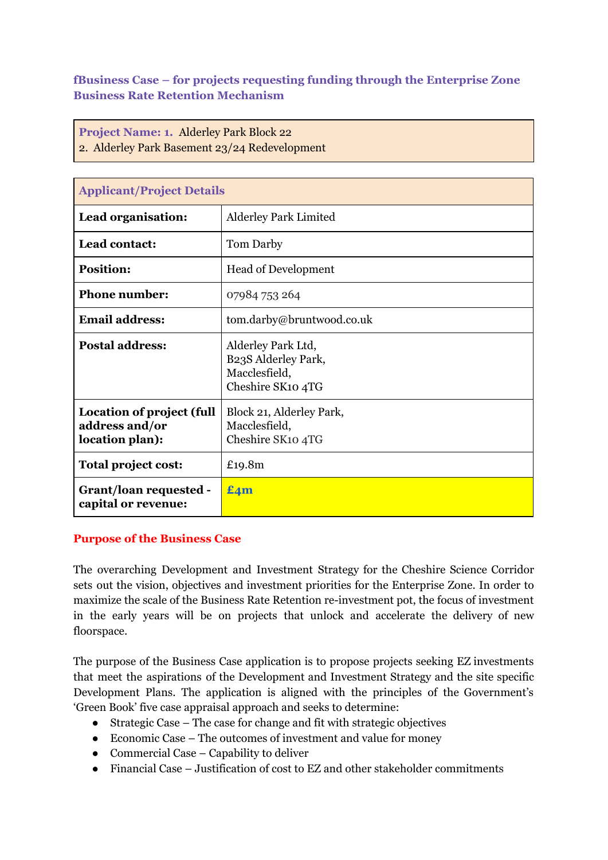**fBusiness Case – for projects requesting funding through the Enterprise Zone Business Rate Retention Mechanism**

**Project Name: 1.** Alderley Park Block 22 2. Alderley Park Basement 23/24 Redevelopment

| <b>Applicant/Project Details</b>                                      |                                                                                 |  |  |  |  |  |
|-----------------------------------------------------------------------|---------------------------------------------------------------------------------|--|--|--|--|--|
| Lead organisation:                                                    | <b>Alderley Park Limited</b>                                                    |  |  |  |  |  |
| Lead contact:                                                         | Tom Darby                                                                       |  |  |  |  |  |
| <b>Position:</b>                                                      | <b>Head of Development</b>                                                      |  |  |  |  |  |
| <b>Phone number:</b>                                                  | 07984 753 264                                                                   |  |  |  |  |  |
| <b>Email address:</b>                                                 | tom.darby@bruntwood.co.uk                                                       |  |  |  |  |  |
| <b>Postal address:</b>                                                | Alderley Park Ltd,<br>B23S Alderley Park,<br>Macclesfield,<br>Cheshire SK10 4TG |  |  |  |  |  |
| <b>Location of project (full</b><br>address and/or<br>location plan): | Block 21, Alderley Park,<br>Macclesfield,<br>Cheshire SK10 4TG                  |  |  |  |  |  |
| Total project cost:                                                   | £19.8m                                                                          |  |  |  |  |  |
| Grant/loan requested -<br>capital or revenue:                         | $E_4m$                                                                          |  |  |  |  |  |

#### **Purpose of the Business Case**

The overarching Development and Investment Strategy for the Cheshire Science Corridor sets out the vision, objectives and investment priorities for the Enterprise Zone. In order to maximize the scale of the Business Rate Retention re-investment pot, the focus of investment in the early years will be on projects that unlock and accelerate the delivery of new floorspace.

The purpose of the Business Case application is to propose projects seeking EZ investments that meet the aspirations of the Development and Investment Strategy and the site specific Development Plans. The application is aligned with the principles of the Government's 'Green Book' five case appraisal approach and seeks to determine:

- Strategic Case The case for change and fit with strategic objectives
- Economic Case The outcomes of investment and value for money
- $\bullet$  Commercial Case Capability to deliver
- Financial Case Justification of cost to EZ and other stakeholder commitments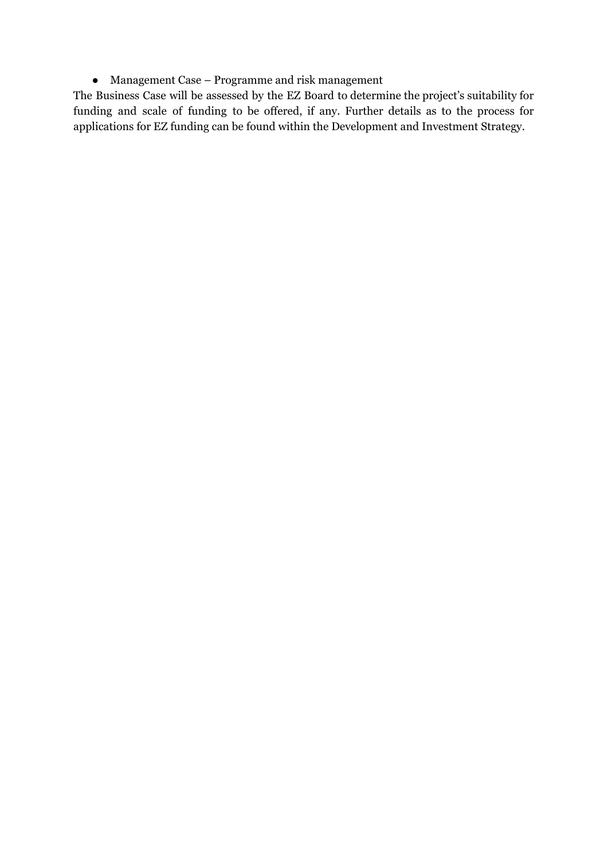● Management Case – Programme and risk management

The Business Case will be assessed by the EZ Board to determine the project's suitability for funding and scale of funding to be offered, if any. Further details as to the process for applications for EZ funding can be found within the Development and Investment Strategy.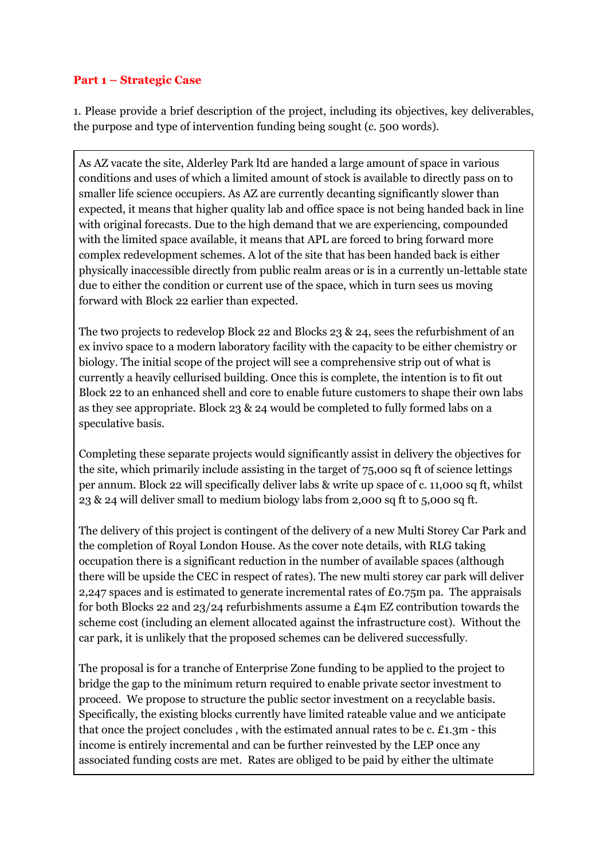### **Part 1 – Strategic Case**

1. Please provide a brief description of the project, including its objectives, key deliverables, the purpose and type of intervention funding being sought (c. 500 words).

As AZ vacate the site, Alderley Park ltd are handed a large amount of space in various conditions and uses of which a limited amount of stock is available to directly pass on to smaller life science occupiers. As AZ are currently decanting significantly slower than expected, it means that higher quality lab and office space is not being handed back in line with original forecasts. Due to the high demand that we are experiencing, compounded with the limited space available, it means that APL are forced to bring forward more complex redevelopment schemes. A lot of the site that has been handed back is either physically inaccessible directly from public realm areas or is in a currently un-lettable state due to either the condition or current use of the space, which in turn sees us moving forward with Block 22 earlier than expected.

The two projects to redevelop Block 22 and Blocks 23 & 24, sees the refurbishment of an ex invivo space to a modern laboratory facility with the capacity to be either chemistry or biology. The initial scope of the project will see a comprehensive strip out of what is currently a heavily cellurised building. Once this is complete, the intention is to fit out Block 22 to an enhanced shell and core to enable future customers to shape their own labs as they see appropriate. Block 23 & 24 would be completed to fully formed labs on a speculative basis.

Completing these separate projects would significantly assist in delivery the objectives for the site, which primarily include assisting in the target of 75,000 sq ft of science lettings per annum. Block 22 will specifically deliver labs & write up space of c. 11,000 sq ft, whilst 23 & 24 will deliver small to medium biology labs from 2,000 sq ft to 5,000 sq ft.

The delivery of this project is contingent of the delivery of a new Multi Storey Car Park and the completion of Royal London House. As the cover note details, with RLG taking occupation there is a significant reduction in the number of available spaces (although there will be upside the CEC in respect of rates). The new multi storey car park will deliver 2,247 spaces and is estimated to generate incremental rates of £0.75m pa. The appraisals for both Blocks 22 and 23/24 refurbishments assume a £4m EZ contribution towards the scheme cost (including an element allocated against the infrastructure cost). Without the car park, it is unlikely that the proposed schemes can be delivered successfully.

The proposal is for a tranche of Enterprise Zone funding to be applied to the project to bridge the gap to the minimum return required to enable private sector investment to proceed. We propose to structure the public sector investment on a recyclable basis. Specifically, the existing blocks currently have limited rateable value and we anticipate that once the project concludes , with the estimated annual rates to be c. £1.3m - this income is entirely incremental and can be further reinvested by the LEP once any associated funding costs are met. Rates are obliged to be paid by either the ultimate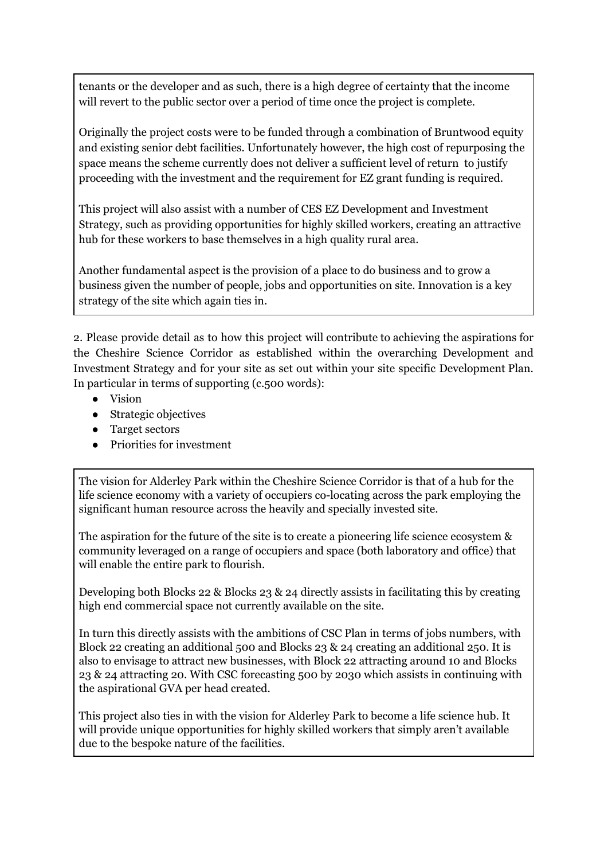tenants or the developer and as such, there is a high degree of certainty that the income will revert to the public sector over a period of time once the project is complete.

Originally the project costs were to be funded through a combination of Bruntwood equity and existing senior debt facilities. Unfortunately however, the high cost of repurposing the space means the scheme currently does not deliver a sufficient level of return to justify proceeding with the investment and the requirement for EZ grant funding is required.

This project will also assist with a number of CES EZ Development and Investment Strategy, such as providing opportunities for highly skilled workers, creating an attractive hub for these workers to base themselves in a high quality rural area.

Another fundamental aspect is the provision of a place to do business and to grow a business given the number of people, jobs and opportunities on site. Innovation is a key strategy of the site which again ties in.

2. Please provide detail as to how this project will contribute to achieving the aspirations for the Cheshire Science Corridor as established within the overarching Development and Investment Strategy and for your site as set out within your site specific Development Plan. In particular in terms of supporting (c.500 words):

- Vision
- Strategic objectives
- Target sectors
- Priorities for investment

The vision for Alderley Park within the Cheshire Science Corridor is that of a hub for the life science economy with a variety of occupiers co-locating across the park employing the significant human resource across the heavily and specially invested site.

The aspiration for the future of the site is to create a pioneering life science ecosystem & community leveraged on a range of occupiers and space (both laboratory and office) that will enable the entire park to flourish.

Developing both Blocks 22 & Blocks 23 & 24 directly assists in facilitating this by creating high end commercial space not currently available on the site.

In turn this directly assists with the ambitions of CSC Plan in terms of jobs numbers, with Block 22 creating an additional 500 and Blocks 23 & 24 creating an additional 250. It is also to envisage to attract new businesses, with Block 22 attracting around 10 and Blocks 23 & 24 attracting 20. With CSC forecasting 500 by 2030 which assists in continuing with the aspirational GVA per head created.

This project also ties in with the vision for Alderley Park to become a life science hub. It will provide unique opportunities for highly skilled workers that simply aren't available due to the bespoke nature of the facilities.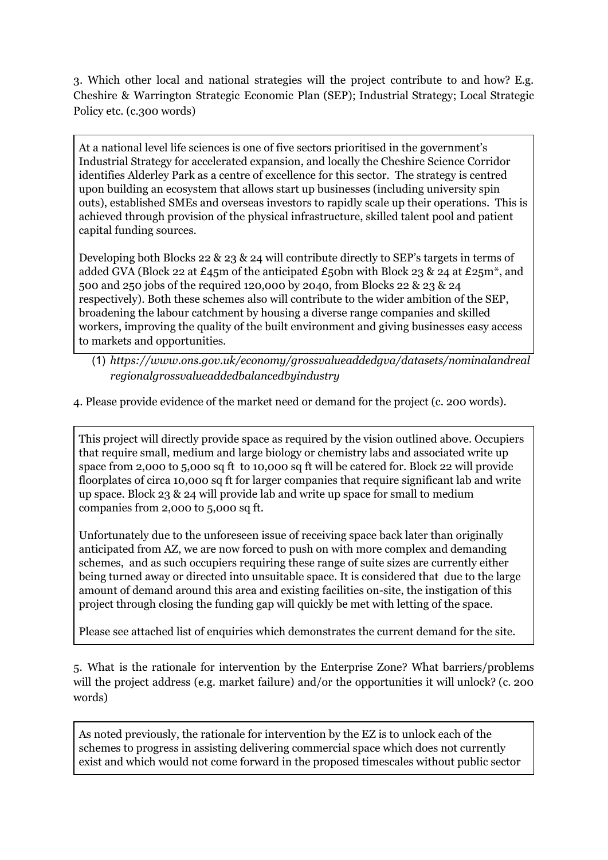3. Which other local and national strategies will the project contribute to and how? E.g. Cheshire & Warrington Strategic Economic Plan (SEP); Industrial Strategy; Local Strategic Policy etc. (c.300 words)

At a national level life sciences is one of five sectors prioritised in the government's Industrial Strategy for accelerated expansion, and locally the Cheshire Science Corridor identifies Alderley Park as a centre of excellence for this sector. The strategy is centred upon building an ecosystem that allows start up businesses (including university spin outs), established SMEs and overseas investors to rapidly scale up their operations. This is achieved through provision of the physical infrastructure, skilled talent pool and patient capital funding sources.

Developing both Blocks 22 & 23 & 24 will contribute directly to SEP's targets in terms of added GVA (Block 22 at £45m of the anticipated £50bn with Block 23 & 24 at £25m<sup>\*</sup>, and 500 and 250 jobs of the required 120,000 by 2040, from Blocks 22 & 23 & 24 respectively). Both these schemes also will contribute to the wider ambition of the SEP, broadening the labour catchment by housing a diverse range companies and skilled workers, improving the quality of the built environment and giving businesses easy access to markets and opportunities.

## (1) *https://www.ons.gov.uk/economy/grossvalueaddedgva/datasets/nominalandreal regionalgrossvalueaddedbalancedbyindustry*

4. Please provide evidence of the market need or demand for the project (c. 200 words).

This project will directly provide space as required by the vision outlined above. Occupiers that require small, medium and large biology or chemistry labs and associated write up space from 2,000 to 5,000 sq ft to 10,000 sq ft will be catered for. Block 22 will provide floorplates of circa 10,000 sq ft for larger companies that require significant lab and write up space. Block 23 & 24 will provide lab and write up space for small to medium companies from 2,000 to 5,000 sq ft.

Unfortunately due to the unforeseen issue of receiving space back later than originally anticipated from AZ, we are now forced to push on with more complex and demanding schemes, and as such occupiers requiring these range of suite sizes are currently either being turned away or directed into unsuitable space. It is considered that due to the large amount of demand around this area and existing facilities on-site, the instigation of this project through closing the funding gap will quickly be met with letting of the space.

Please see attached list of enquiries which demonstrates the current demand for the site.

5. What is the rationale for intervention by the Enterprise Zone? What barriers/problems will the project address (e.g. market failure) and/or the opportunities it will unlock? (c. 200 words)

As noted previously, the rationale for intervention by the EZ is to unlock each of the schemes to progress in assisting delivering commercial space which does not currently exist and which would not come forward in the proposed timescales without public sector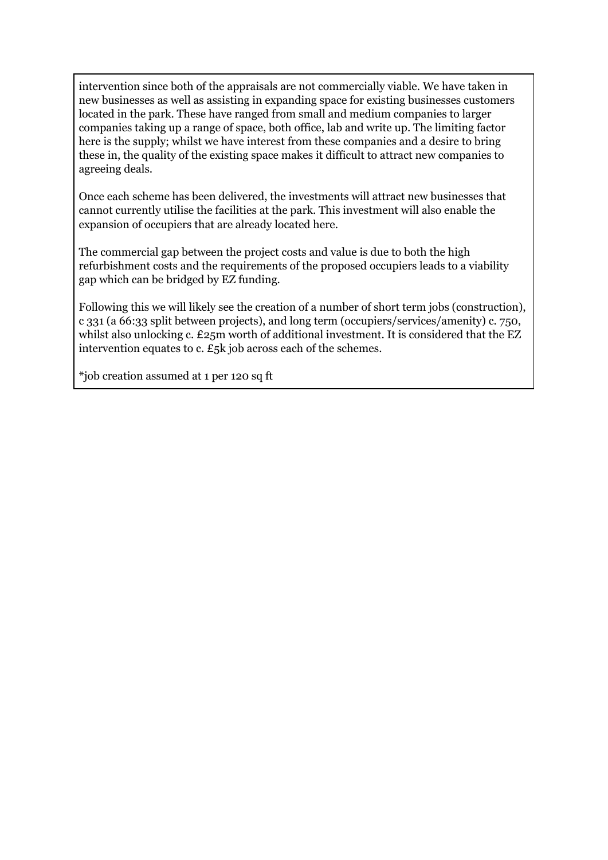intervention since both of the appraisals are not commercially viable. We have taken in new businesses as well as assisting in expanding space for existing businesses customers located in the park. These have ranged from small and medium companies to larger companies taking up a range of space, both office, lab and write up. The limiting factor here is the supply; whilst we have interest from these companies and a desire to bring these in, the quality of the existing space makes it difficult to attract new companies to agreeing deals.

Once each scheme has been delivered, the investments will attract new businesses that cannot currently utilise the facilities at the park. This investment will also enable the expansion of occupiers that are already located here.

The commercial gap between the project costs and value is due to both the high refurbishment costs and the requirements of the proposed occupiers leads to a viability gap which can be bridged by EZ funding.

Following this we will likely see the creation of a number of short term jobs (construction), c 331 (a 66:33 split between projects), and long term (occupiers/services/amenity) c. 750, whilst also unlocking c. £25m worth of additional investment. It is considered that the EZ intervention equates to c. £5k job across each of the schemes.

\*job creation assumed at 1 per 120 sq ft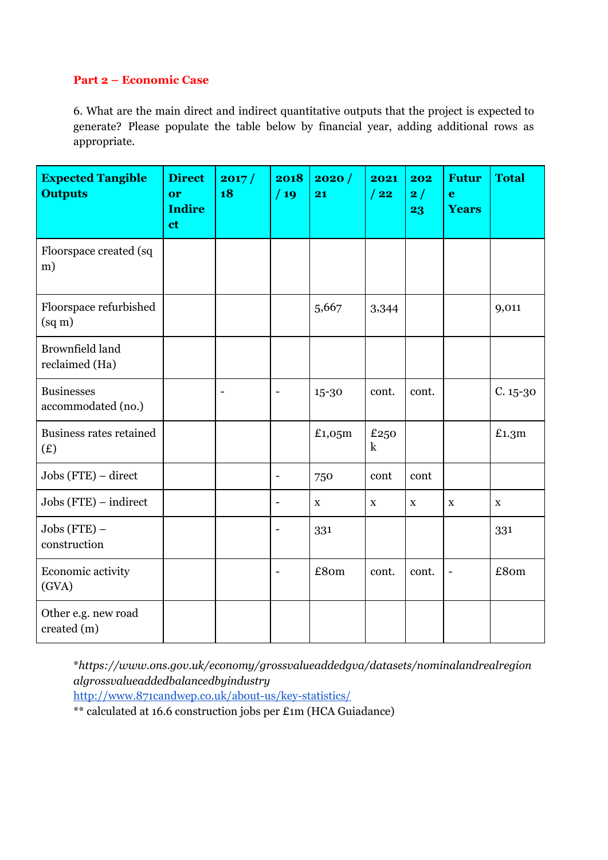### **Part 2 – Economic Case**

6. What are the main direct and indirect quantitative outputs that the project is expected to generate? Please populate the table below by financial year, adding additional rows as appropriate.

| <b>Expected Tangible</b><br><b>Outputs</b> | <b>Direct</b><br>or<br><b>Indire</b><br>ct | 2017/<br>18 | 2018<br>/19              | 2020/<br>21 | 2021<br>/22     | 202<br>2/<br>23 | <b>Futur</b><br>$\mathbf e$<br><b>Years</b> | <b>Total</b> |
|--------------------------------------------|--------------------------------------------|-------------|--------------------------|-------------|-----------------|-----------------|---------------------------------------------|--------------|
| Floorspace created (sq<br>m)               |                                            |             |                          |             |                 |                 |                                             |              |
| Floorspace refurbished<br>$\text{(sq m)}$  |                                            |             |                          | 5,667       | 3,344           |                 |                                             | 9,011        |
| <b>Brownfield land</b><br>reclaimed (Ha)   |                                            |             |                          |             |                 |                 |                                             |              |
| <b>Businesses</b><br>accommodated (no.)    |                                            |             | $\overline{\phantom{a}}$ | 15-30       | cont.           | cont.           |                                             | $C. 15 - 30$ |
| <b>Business rates retained</b><br>(E)      |                                            |             |                          | £1,05m      | £250<br>$\bf k$ |                 |                                             | £1.3m        |
| $Jobs(FTE) - direct$                       |                                            |             | $\blacksquare$           | 750         | cont            | cont            |                                             |              |
| $Jobs$ (FTE) – indirect                    |                                            |             | $\overline{\phantom{a}}$ | $\mathbf X$ | $\mathbf X$     | $\mathbf X$     | $\mathbf X$                                 | $\mathbf X$  |
| $Jobs (FTE) -$<br>construction             |                                            |             | $\overline{\phantom{a}}$ | 331         |                 |                 |                                             | 331          |
| Economic activity<br>(GVA)                 |                                            |             | $\overline{\phantom{a}}$ | £80m        | cont.           | cont.           | $\overline{\phantom{m}}$                    | £80m         |
| Other e.g. new road<br>created (m)         |                                            |             |                          |             |                 |                 |                                             |              |

\**https://www.ons.gov.uk/economy/grossvalueaddedgva/datasets/nominalandrealregion algrossvalueaddedbalancedbyindustry*

<http://www.871candwep.co.uk/about-us/key-statistics/>

\*\* calculated at 16.6 construction jobs per £1m (HCA Guiadance)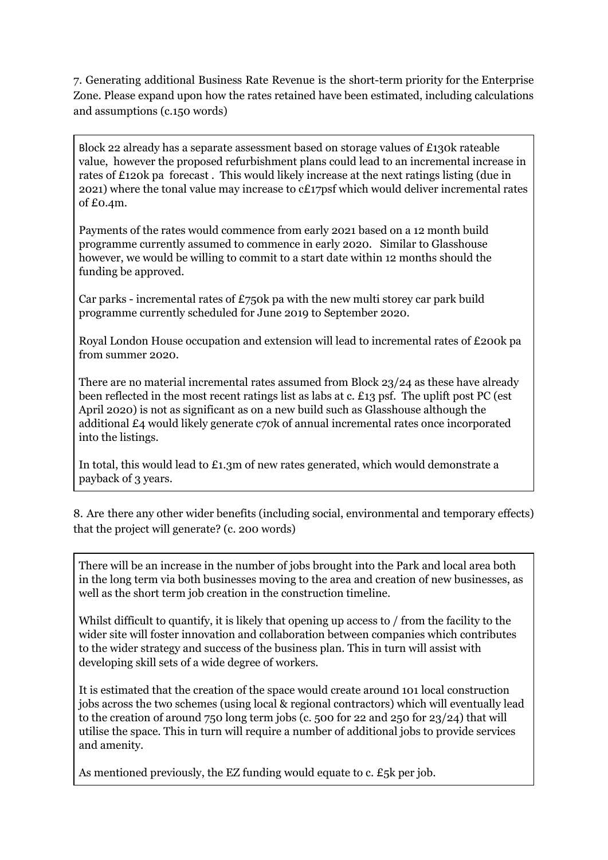7. Generating additional Business Rate Revenue is the short-term priority for the Enterprise Zone. Please expand upon how the rates retained have been estimated, including calculations and assumptions (c.150 words)

Block 22 already has a separate assessment based on storage values of £130k rateable value, however the proposed refurbishment plans could lead to an incremental increase in rates of £120k pa forecast . This would likely increase at the next ratings listing (due in 2021) where the tonal value may increase to  $cE17$  psf which would deliver incremental rates of £0.4m.

Payments of the rates would commence from early 2021 based on a 12 month build programme currently assumed to commence in early 2020. Similar to Glasshouse however, we would be willing to commit to a start date within 12 months should the funding be approved.

Car parks - incremental rates of  $£750k$  pa with the new multi storey car park build programme currently scheduled for June 2019 to September 2020.

Royal London House occupation and extension will lead to incremental rates of £200k pa from summer 2020.

There are no material incremental rates assumed from Block 23/24 as these have already been reflected in the most recent ratings list as labs at c. £13 psf. The uplift post PC (est April 2020) is not as significant as on a new build such as Glasshouse although the additional £4 would likely generate c70k of annual incremental rates once incorporated into the listings.

In total, this would lead to £1.3m of new rates generated, which would demonstrate a payback of 3 years.

8. Are there any other wider benefits (including social, environmental and temporary effects) that the project will generate? (c. 200 words)

There will be an increase in the number of jobs brought into the Park and local area both in the long term via both businesses moving to the area and creation of new businesses, as well as the short term job creation in the construction timeline.

Whilst difficult to quantify, it is likely that opening up access to / from the facility to the wider site will foster innovation and collaboration between companies which contributes to the wider strategy and success of the business plan. This in turn will assist with developing skill sets of a wide degree of workers.

It is estimated that the creation of the space would create around 101 local construction jobs across the two schemes (using local & regional contractors) which will eventually lead to the creation of around 750 long term jobs (c. 500 for 22 and 250 for 23/24) that will utilise the space. This in turn will require a number of additional jobs to provide services and amenity.

As mentioned previously, the EZ funding would equate to c. £5k per job.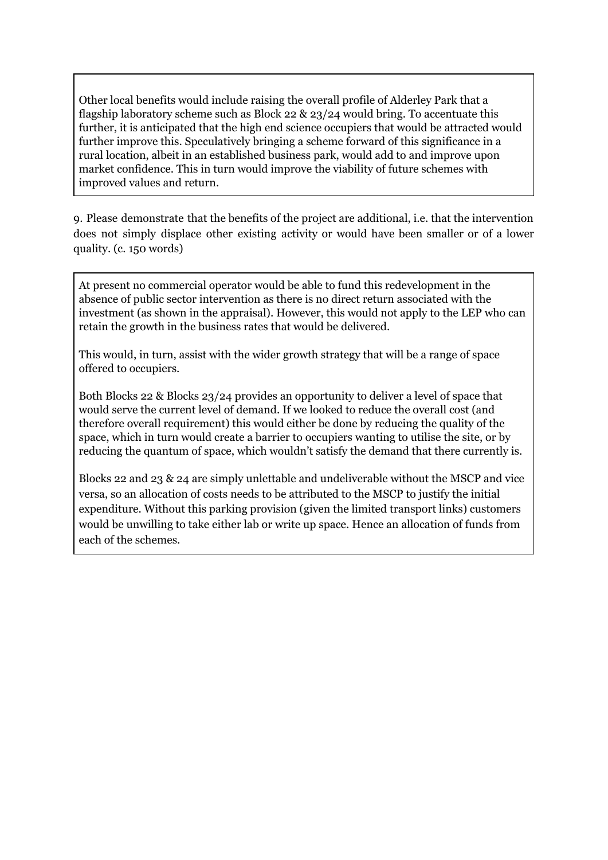Other local benefits would include raising the overall profile of Alderley Park that a flagship laboratory scheme such as Block 22 & 23/24 would bring. To accentuate this further, it is anticipated that the high end science occupiers that would be attracted would further improve this. Speculatively bringing a scheme forward of this significance in a rural location, albeit in an established business park, would add to and improve upon market confidence. This in turn would improve the viability of future schemes with improved values and return.

9. Please demonstrate that the benefits of the project are additional, i.e. that the intervention does not simply displace other existing activity or would have been smaller or of a lower quality. (c. 150 words)

At present no commercial operator would be able to fund this redevelopment in the absence of public sector intervention as there is no direct return associated with the investment (as shown in the appraisal). However, this would not apply to the LEP who can retain the growth in the business rates that would be delivered.

This would, in turn, assist with the wider growth strategy that will be a range of space offered to occupiers.

Both Blocks 22 & Blocks 23/24 provides an opportunity to deliver a level of space that would serve the current level of demand. If we looked to reduce the overall cost (and therefore overall requirement) this would either be done by reducing the quality of the space, which in turn would create a barrier to occupiers wanting to utilise the site, or by reducing the quantum of space, which wouldn't satisfy the demand that there currently is.

Blocks 22 and 23 & 24 are simply unlettable and undeliverable without the MSCP and vice versa, so an allocation of costs needs to be attributed to the MSCP to justify the initial expenditure. Without this parking provision (given the limited transport links) customers would be unwilling to take either lab or write up space. Hence an allocation of funds from each of the schemes.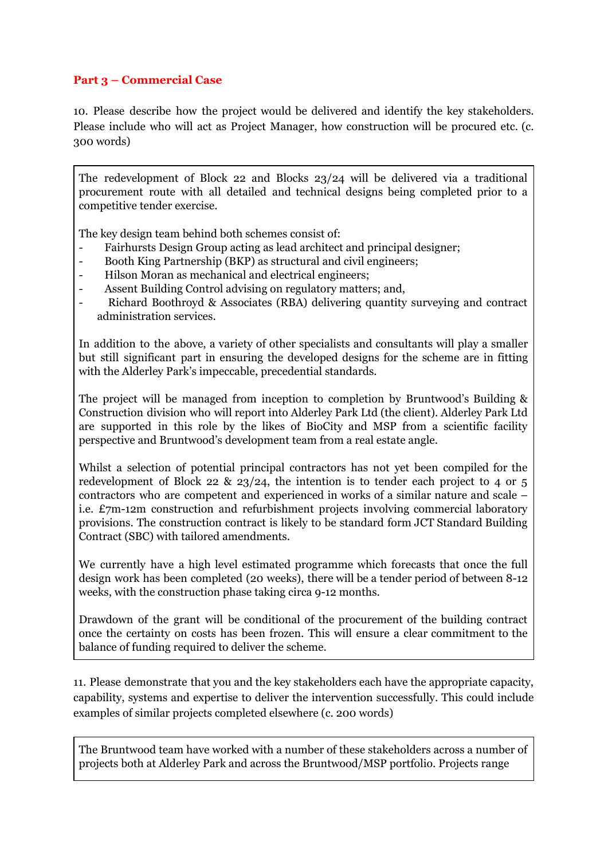## **Part 3 – Commercial Case**

10. Please describe how the project would be delivered and identify the key stakeholders. Please include who will act as Project Manager, how construction will be procured etc. (c. 300 words)

The redevelopment of Block 22 and Blocks 23/24 will be delivered via a traditional procurement route with all detailed and technical designs being completed prior to a competitive tender exercise.

The key design team behind both schemes consist of:

- Fairhursts Design Group acting as lead architect and principal designer;
- Booth King Partnership (BKP) as structural and civil engineers;
- Hilson Moran as mechanical and electrical engineers;
- Assent Building Control advising on regulatory matters; and,
- Richard Boothroyd & Associates (RBA) delivering quantity surveying and contract administration services.

In addition to the above, a variety of other specialists and consultants will play a smaller but still significant part in ensuring the developed designs for the scheme are in fitting with the Alderley Park's impeccable, precedential standards.

The project will be managed from inception to completion by Bruntwood's Building & Construction division who will report into Alderley Park Ltd (the client). Alderley Park Ltd are supported in this role by the likes of BioCity and MSP from a scientific facility perspective and Bruntwood's development team from a real estate angle.

Whilst a selection of potential principal contractors has not yet been compiled for the redevelopment of Block 22 & 23/24, the intention is to tender each project to 4 or 5 contractors who are competent and experienced in works of a similar nature and scale – i.e. £7m-12m construction and refurbishment projects involving commercial laboratory provisions. The construction contract is likely to be standard form JCT Standard Building Contract (SBC) with tailored amendments.

We currently have a high level estimated programme which forecasts that once the full design work has been completed (20 weeks), there will be a tender period of between 8-12 weeks, with the construction phase taking circa 9-12 months.

Drawdown of the grant will be conditional of the procurement of the building contract once the certainty on costs has been frozen. This will ensure a clear commitment to the balance of funding required to deliver the scheme.

11. Please demonstrate that you and the key stakeholders each have the appropriate capacity, capability, systems and expertise to deliver the intervention successfully. This could include examples of similar projects completed elsewhere (c. 200 words)

The Bruntwood team have worked with a number of these stakeholders across a number of projects both at Alderley Park and across the Bruntwood/MSP portfolio. Projects range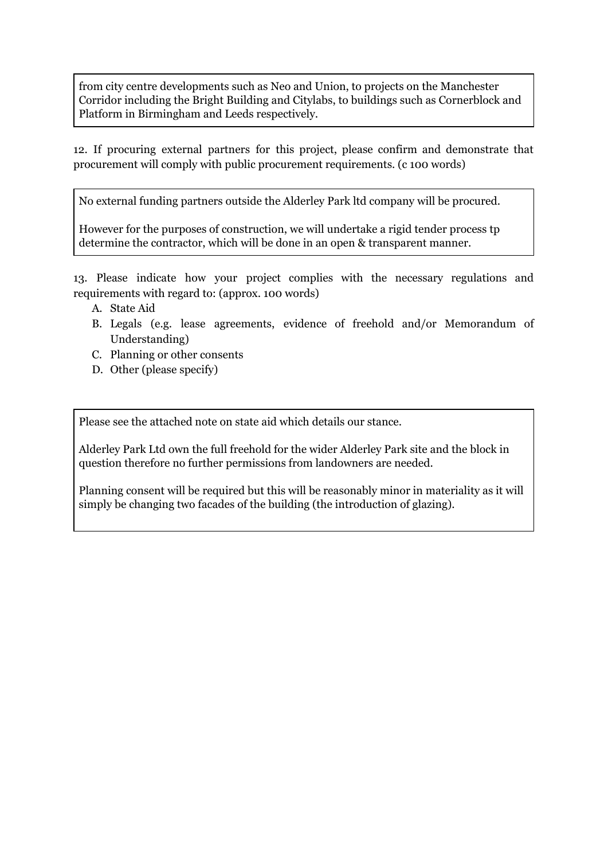from city centre developments such as Neo and Union, to projects on the Manchester Corridor including the Bright Building and Citylabs, to buildings such as Cornerblock and Platform in Birmingham and Leeds respectively.

12. If procuring external partners for this project, please confirm and demonstrate that procurement will comply with public procurement requirements. (c 100 words)

No external funding partners outside the Alderley Park ltd company will be procured.

However for the purposes of construction, we will undertake a rigid tender process tp determine the contractor, which will be done in an open & transparent manner.

13. Please indicate how your project complies with the necessary regulations and requirements with regard to: (approx. 100 words)

- A. State Aid
- B. Legals (e.g. lease agreements, evidence of freehold and/or Memorandum of Understanding)
- C. Planning or other consents
- D. Other (please specify)

Please see the attached note on state aid which details our stance.

Alderley Park Ltd own the full freehold for the wider Alderley Park site and the block in question therefore no further permissions from landowners are needed.

Planning consent will be required but this will be reasonably minor in materiality as it will simply be changing two facades of the building (the introduction of glazing).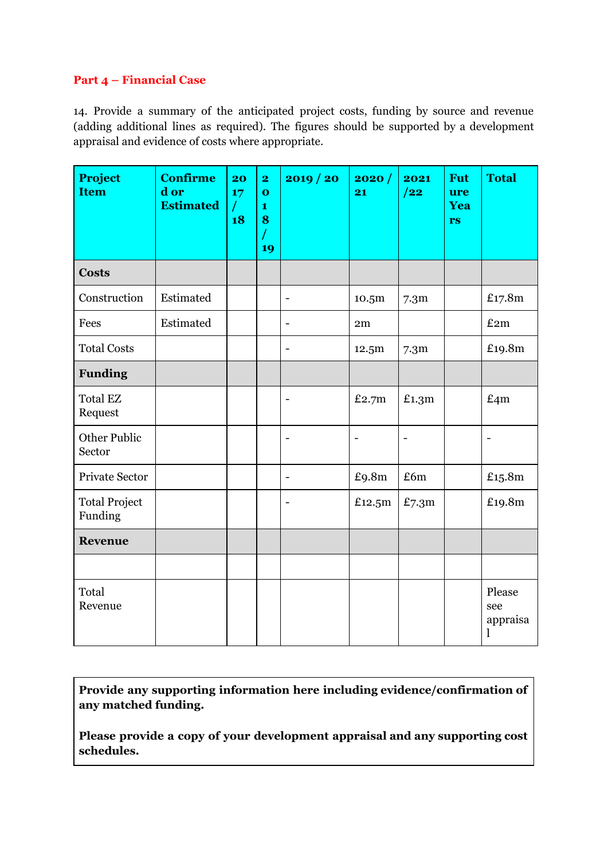## **Part 4 – Financial Case**

14. Provide a summary of the anticipated project costs, funding by source and revenue (adding additional lines as required). The figures should be supported by a development appraisal and evidence of costs where appropriate.

| <b>Project</b><br><b>Item</b>   | <b>Confirme</b><br>d or<br><b>Estimated</b> | 20<br>17<br>$\sqrt{ }$<br>18 | $\overline{\mathbf{2}}$<br>$\mathbf{o}$<br>1<br>8<br>19 | 2019 / 20                | 2020/<br>21              | 2021<br>/22              | <b>Fut</b><br>ure<br>Yea<br>rs | <b>Total</b>                   |
|---------------------------------|---------------------------------------------|------------------------------|---------------------------------------------------------|--------------------------|--------------------------|--------------------------|--------------------------------|--------------------------------|
| <b>Costs</b>                    |                                             |                              |                                                         |                          |                          |                          |                                |                                |
| Construction                    | Estimated                                   |                              |                                                         | $\overline{\phantom{a}}$ | 10.5m                    | 7.3 <sub>m</sub>         |                                | £17.8m                         |
| Fees                            | Estimated                                   |                              |                                                         | $\overline{\phantom{a}}$ | 2m                       |                          |                                | £2m                            |
| <b>Total Costs</b>              |                                             |                              |                                                         | $\overline{\phantom{a}}$ | 12.5m                    | 7.3 <sub>m</sub>         |                                | £19.8m                         |
| <b>Funding</b>                  |                                             |                              |                                                         |                          |                          |                          |                                |                                |
| <b>Total EZ</b><br>Request      |                                             |                              |                                                         | $\overline{\phantom{a}}$ | £2.7 $m$                 | £1.3m                    |                                | £4m                            |
| <b>Other Public</b><br>Sector   |                                             |                              |                                                         |                          | $\overline{\phantom{0}}$ | $\overline{\phantom{0}}$ |                                |                                |
| <b>Private Sector</b>           |                                             |                              |                                                         | $\overline{\phantom{a}}$ | £9.8m                    | £6m                      |                                | £15.8m                         |
| <b>Total Project</b><br>Funding |                                             |                              |                                                         | ٠                        | £12.5m                   | £7.3m                    |                                | £19.8m                         |
| <b>Revenue</b>                  |                                             |                              |                                                         |                          |                          |                          |                                |                                |
|                                 |                                             |                              |                                                         |                          |                          |                          |                                |                                |
| Total<br>Revenue                |                                             |                              |                                                         |                          |                          |                          |                                | Please<br>see<br>appraisa<br>l |

**Provide any supporting information here including evidence/confirmation of any matched funding.**

**Please provide a copy of your development appraisal and any supporting cost schedules.**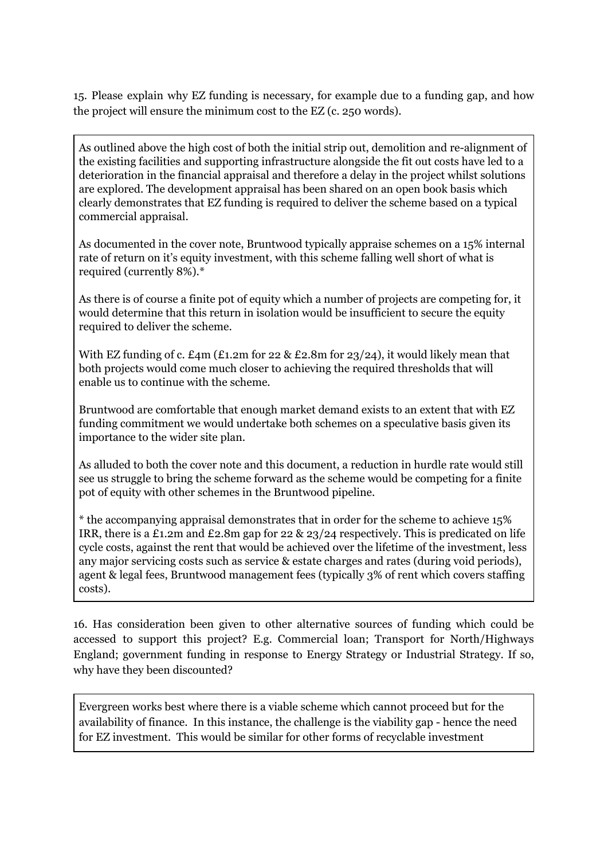15. Please explain why EZ funding is necessary, for example due to a funding gap, and how the project will ensure the minimum cost to the EZ (c. 250 words).

As outlined above the high cost of both the initial strip out, demolition and re-alignment of the existing facilities and supporting infrastructure alongside the fit out costs have led to a deterioration in the financial appraisal and therefore a delay in the project whilst solutions are explored. The development appraisal has been shared on an open book basis which clearly demonstrates that EZ funding is required to deliver the scheme based on a typical commercial appraisal.

As documented in the cover note, Bruntwood typically appraise schemes on a 15% internal rate of return on it's equity investment, with this scheme falling well short of what is required (currently 8%).\*

As there is of course a finite pot of equity which a number of projects are competing for, it would determine that this return in isolation would be insufficient to secure the equity required to deliver the scheme.

With EZ funding of c.  $\text{\pounds}4m$  ( $\text{\pounds}1.2m$  for 22 &  $\text{\pounds}2.8m$  for 23/24), it would likely mean that both projects would come much closer to achieving the required thresholds that will enable us to continue with the scheme.

Bruntwood are comfortable that enough market demand exists to an extent that with EZ funding commitment we would undertake both schemes on a speculative basis given its importance to the wider site plan.

As alluded to both the cover note and this document, a reduction in hurdle rate would still see us struggle to bring the scheme forward as the scheme would be competing for a finite pot of equity with other schemes in the Bruntwood pipeline.

\* the accompanying appraisal demonstrates that in order for the scheme t0 achieve 15% IRR, there is a £1.2m and £2.8m gap for 22  $\&$  23/24 respectively. This is predicated on life cycle costs, against the rent that would be achieved over the lifetime of the investment, less any major servicing costs such as service & estate charges and rates (during void periods), agent & legal fees, Bruntwood management fees (typically 3% of rent which covers staffing costs).

16. Has consideration been given to other alternative sources of funding which could be accessed to support this project? E.g. Commercial loan; Transport for North/Highways England; government funding in response to Energy Strategy or Industrial Strategy. If so, why have they been discounted?

Evergreen works best where there is a viable scheme which cannot proceed but for the availability of finance. In this instance, the challenge is the viability gap - hence the need for EZ investment. This would be similar for other forms of recyclable investment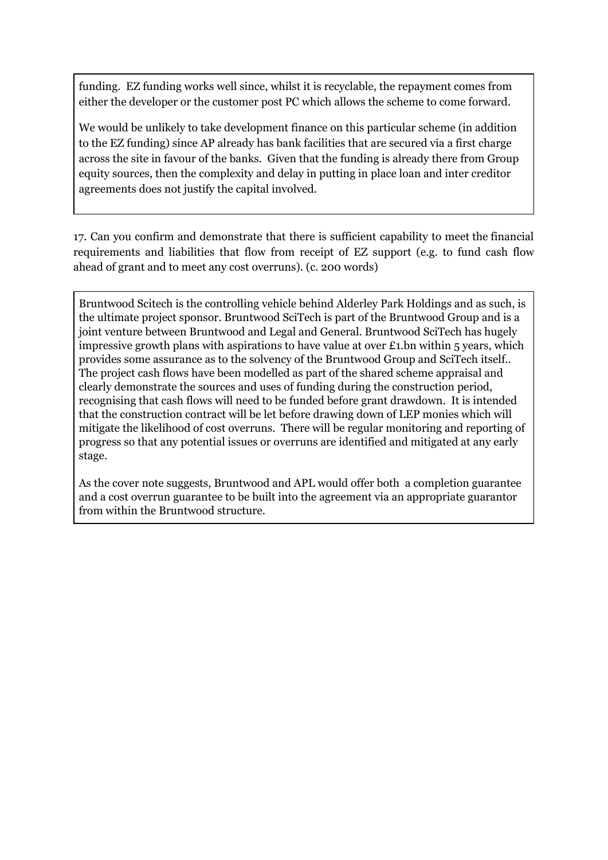funding. EZ funding works well since, whilst it is recyclable, the repayment comes from either the developer or the customer post PC which allows the scheme to come forward.

We would be unlikely to take development finance on this particular scheme (in addition to the EZ funding) since AP already has bank facilities that are secured via a first charge across the site in favour of the banks. Given that the funding is already there from Group equity sources, then the complexity and delay in putting in place loan and inter creditor agreements does not justify the capital involved.

17. Can you confirm and demonstrate that there is sufficient capability to meet the financial requirements and liabilities that flow from receipt of EZ support (e.g. to fund cash flow ahead of grant and to meet any cost overruns). (c. 200 words)

Bruntwood Scitech is the controlling vehicle behind Alderley Park Holdings and as such, is the ultimate project sponsor. Bruntwood SciTech is part of the Bruntwood Group and is a joint venture between Bruntwood and Legal and General. Bruntwood SciTech has hugely impressive growth plans with aspirations to have value at over £1.bn within 5 years, which provides some assurance as to the solvency of the Bruntwood Group and SciTech itself.. The project cash flows have been modelled as part of the shared scheme appraisal and clearly demonstrate the sources and uses of funding during the construction period, recognising that cash flows will need to be funded before grant drawdown. It is intended that the construction contract will be let before drawing down of LEP monies which will mitigate the likelihood of cost overruns. There will be regular monitoring and reporting of progress so that any potential issues or overruns are identified and mitigated at any early stage.

As the cover note suggests, Bruntwood and APL would offer both a completion guarantee and a cost overrun guarantee to be built into the agreement via an appropriate guarantor from within the Bruntwood structure.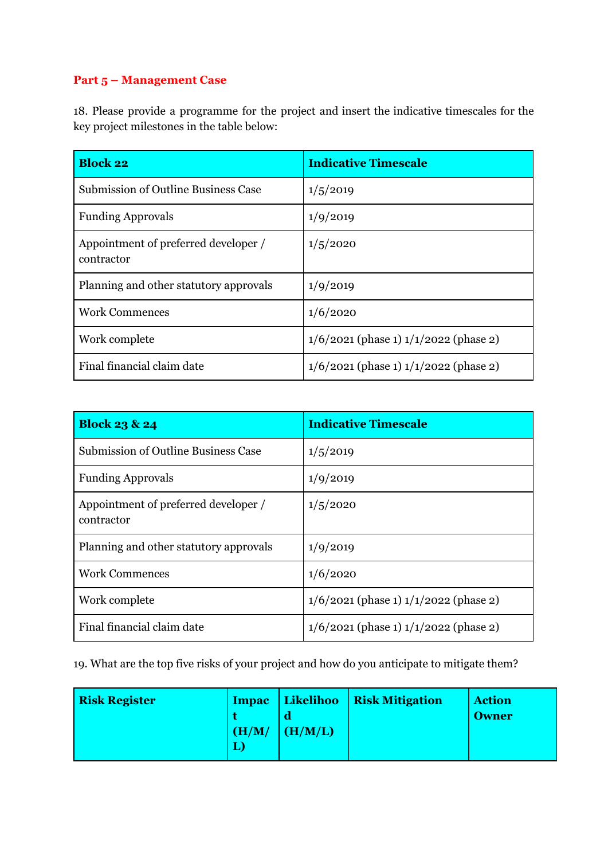# **Part 5 – Management Case**

18. Please provide a programme for the project and insert the indicative timescales for the key project milestones in the table below:

| <b>Block 22</b>                                    | <b>Indicative Timescale</b>               |
|----------------------------------------------------|-------------------------------------------|
| <b>Submission of Outline Business Case</b>         | 1/5/2019                                  |
| <b>Funding Approvals</b>                           | 1/9/2019                                  |
| Appointment of preferred developer /<br>contractor | 1/5/2020                                  |
| Planning and other statutory approvals             | 1/9/2019                                  |
| <b>Work Commences</b>                              | 1/6/2020                                  |
| Work complete                                      | $1/6/2021$ (phase 1) $1/1/2022$ (phase 2) |
| Final financial claim date                         | $1/6/2021$ (phase 1) $1/1/2022$ (phase 2) |

| <b>Block 23 &amp; 24</b>                           | <b>Indicative Timescale</b>               |
|----------------------------------------------------|-------------------------------------------|
| <b>Submission of Outline Business Case</b>         | 1/5/2019                                  |
| <b>Funding Approvals</b>                           | 1/9/2019                                  |
| Appointment of preferred developer /<br>contractor | 1/5/2020                                  |
| Planning and other statutory approvals             | 1/9/2019                                  |
| <b>Work Commences</b>                              | 1/6/2020                                  |
| Work complete                                      | $1/6/2021$ (phase 1) $1/1/2022$ (phase 2) |
| Final financial claim date                         | $1/6/2021$ (phase 1) $1/1/2022$ (phase 2) |

19. What are the top five risks of your project and how do you anticipate to mitigate them?

| <b>Risk Register</b> | (H/M) | (H/M/L) | Impac   Likelihoo   Risk Mitigation | <b>Action</b><br><b>Owner</b> |
|----------------------|-------|---------|-------------------------------------|-------------------------------|
|                      |       |         |                                     |                               |